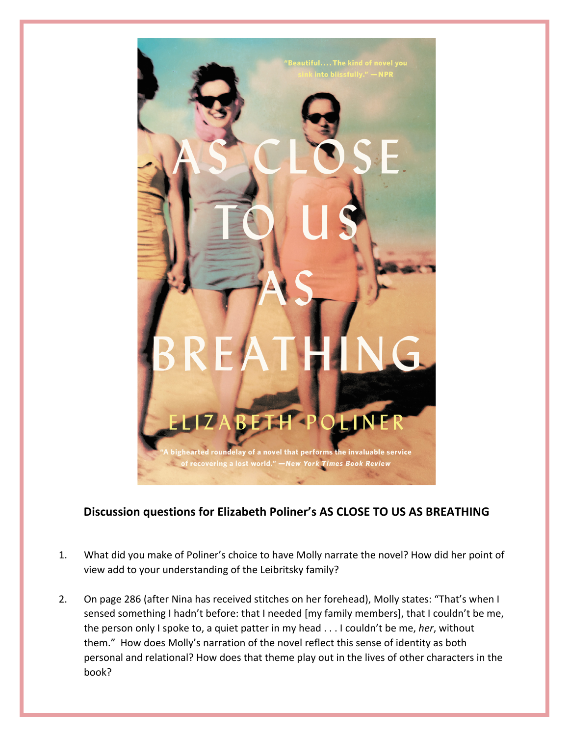

## **Discussion questions for Elizabeth Poliner's AS CLOSE TO US AS BREATHING**

- 1. What did you make of Poliner's choice to have Molly narrate the novel? How did her point of view add to your understanding of the Leibritsky family?
- 2. On page 286 (after Nina has received stitches on her forehead), Molly states: "That's when I sensed something I hadn't before: that I needed [my family members], that I couldn't be me, the person only I spoke to, a quiet patter in my head . . . I couldn't be me, her, without them." How does Molly's narration of the novel reflect this sense of identity as both personal and relational? How does that theme play out in the lives of other characters in the book?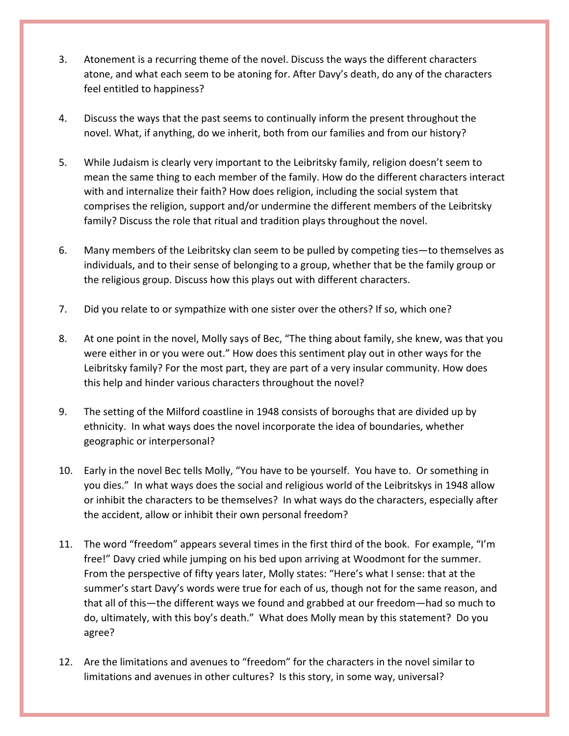- 3. Atonement is a recurring theme of the novel. Discuss the ways the different characters atone, and what each seem to be atoning for. After Davy's death, do any of the characters feel entitled to happiness?
- 4. Discuss the ways that the past seems to continually inform the present throughout the novel. What, if anything, do we inherit, both from our families and from our history?
- 5. While Judaism is clearly very important to the Leibritsky family, religion doesn't seem to mean the same thing to each member of the family. How do the different characters interact with and internalize their faith? How does religion, including the social system that comprises the religion, support and/or undermine the different members of the Leibritsky family? Discuss the role that ritual and tradition plays throughout the novel.
- 6. Many members of the Leibritsky clan seem to be pulled by competing ties—to themselves as individuals, and to their sense of belonging to a group, whether that be the family group or the religious group. Discuss how this plays out with different characters.
- 7. Did you relate to or sympathize with one sister over the others? If so, which one?
- 8. At one point in the novel, Molly says of Bec, "The thing about family, she knew, was that you were either in or you were out." How does this sentiment play out in other ways for the Leibritsky family? For the most part, they are part of a very insular community. How does this help and hinder various characters throughout the novel?
- 9. The setting of the Milford coastline in 1948 consists of boroughs that are divided up by ethnicity. In what ways does the novel incorporate the idea of boundaries, whether geographic or interpersonal?
- 10. Early in the novel Bec tells Molly, "You have to be yourself. You have to. Or something in you dies." In what ways does the social and religious world of the Leibritskys in 1948 allow or inhibit the characters to be themselves? In what ways do the characters, especially after the accident, allow or inhibit their own personal freedom?
- 11. The word "freedom" appears several times in the first third of the book. For example, "I'm free!" Davy cried while jumping on his bed upon arriving at Woodmont for the summer. From the perspective of fifty years later, Molly states: "Here's what I sense: that at the summer's start Davy's words were true for each of us, though not for the same reason, and that all of this—the different ways we found and grabbed at our freedom—had so much to do, ultimately, with this boy's death." What does Molly mean by this statement? Do you agree?
- 12. Are the limitations and avenues to "freedom" for the characters in the novel similar to limitations and avenues in other cultures? Is this story, in some way, universal?